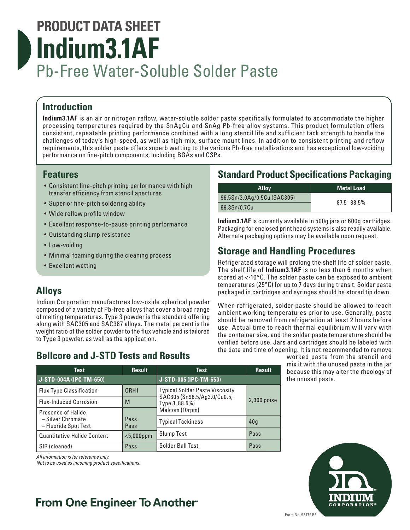# **PRODUCT DATA SHEET Indium3.1AF** Pb-Free Water-Soluble Solder Paste

# **Introduction**

**Indium3.1AF** is an air or nitrogen reflow, water-soluble solder paste specifically formulated to accommodate the higher processing temperatures required by the SnAgCu and SnAg Pb-free alloy systems. This product formulation offers consistent, repeatable printing performance combined with a long stencil life and sufficient tack strength to handle the challenges of today's high-speed, as well as high-mix, surface mount lines. In addition to consistent printing and reflow requirements, this solder paste offers superb wetting to the various Pb-free metallizations and has exceptional low-voiding performance on fine-pitch components, including BGAs and CSPs.

### **Features**

- Consistent fine-pitch printing performance with high transfer efficiency from stencil apertures
- Superior fine-pitch soldering ability
- Wide reflow profile window
- Excellent response-to-pause printing performance
- Outstanding slump resistance
- Low-voiding
- Minimal foaming during the cleaning process
- Excellent wetting

## **Alloys**

Indium Corporation manufactures low-oxide spherical powder composed of a variety of Pb-free alloys that cover a broad range of melting temperatures. Type 3 powder is the standard offering along with SAC305 and SAC387 alloys. The metal percent is the weight ratio of the solder powder to the flux vehicle and is tailored to Type 3 powder, as well as the application.

# **Bellcore and J-STD Tests and Results**

## **Standard Product Specifications Packaging**

| <b>Alloy</b>                | <b>Metal Load</b> |
|-----------------------------|-------------------|
| 96.5Sn/3.0Ag/0.5Cu (SAC305) | $87.5 - 88.5%$    |
| 99.3Sn/0.7Cu                |                   |

**Indium3.1AF** is currently available in 500g jars or 600g cartridges. Packaging for enclosed print head systems is also readily available. Alternate packaging options may be available upon request.

# **Storage and Handling Procedures**

Refrigerated storage will prolong the shelf life of solder paste. The shelf life of **Indium3.1AF** is no less than 6 months when stored at <-10°C. The solder paste can be exposed to ambient temperatures (25°C) for up to 7 days during transit. Solder paste packaged in cartridges and syringes should be stored tip down.

When refrigerated, solder paste should be allowed to reach ambient working temperatures prior to use. Generally, paste should be removed from refrigeration at least 2 hours before use. Actual time to reach thermal equilibrium will vary with the container size, and the solder paste temperature should be verified before use. Jars and cartridges should be labeled with the date and time of opening. It is not recommended to remove

worked paste from the stencil and mix it with the unused paste in the jar because this may alter the rheology of the unused paste.



*All information is for reference only.* 

*Not to be used as incoming product specifications.*

# **From One Engineer To Another®**